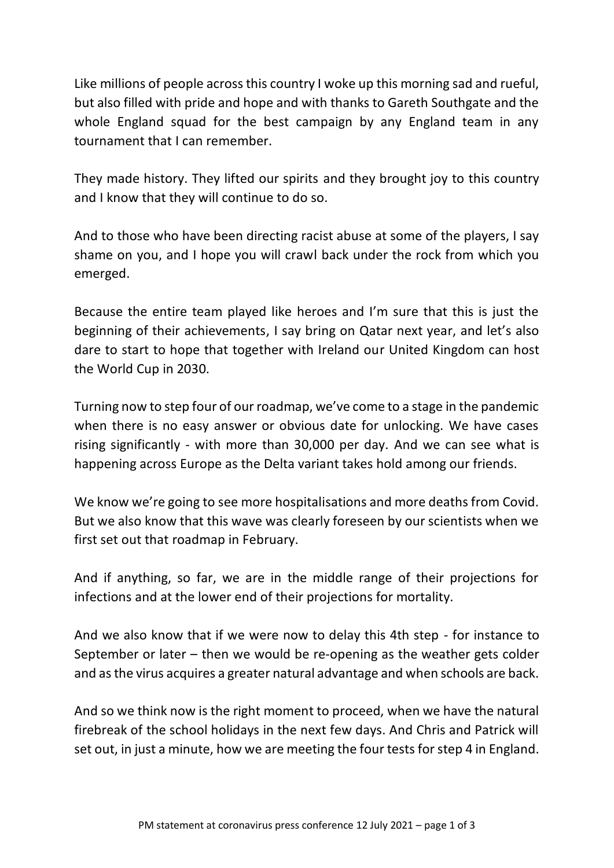Like millions of people across this country I woke up this morning sad and rueful, but also filled with pride and hope and with thanks to Gareth Southgate and the whole England squad for the best campaign by any England team in any tournament that I can remember.

They made history. They lifted our spirits and they brought joy to this country and I know that they will continue to do so.

And to those who have been directing racist abuse at some of the players, I say shame on you, and I hope you will crawl back under the rock from which you emerged.

Because the entire team played like heroes and I'm sure that this is just the beginning of their achievements, I say bring on Qatar next year, and let's also dare to start to hope that together with Ireland our United Kingdom can host the World Cup in 2030.

Turning now to step four of our roadmap, we've come to a stage in the pandemic when there is no easy answer or obvious date for unlocking. We have cases rising significantly - with more than 30,000 per day. And we can see what is happening across Europe as the Delta variant takes hold among our friends.

We know we're going to see more hospitalisations and more deaths from Covid. But we also know that this wave was clearly foreseen by our scientists when we first set out that roadmap in February.

And if anything, so far, we are in the middle range of their projections for infections and at the lower end of their projections for mortality.

And we also know that if we were now to delay this 4th step - for instance to September or later – then we would be re-opening as the weather gets colder and as the virus acquires a greater natural advantage and when schools are back.

And so we think now is the right moment to proceed, when we have the natural firebreak of the school holidays in the next few days. And Chris and Patrick will set out, in just a minute, how we are meeting the four tests for step 4 in England.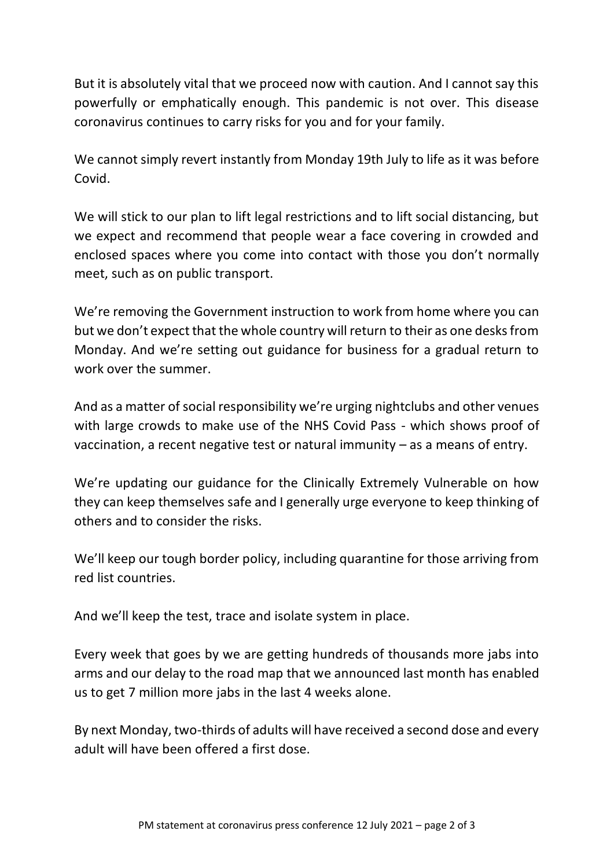But it is absolutely vital that we proceed now with caution. And I cannot say this powerfully or emphatically enough. This pandemic is not over. This disease coronavirus continues to carry risks for you and for your family.

We cannot simply revert instantly from Monday 19th July to life as it was before Covid.

We will stick to our plan to lift legal restrictions and to lift social distancing, but we expect and recommend that people wear a face covering in crowded and enclosed spaces where you come into contact with those you don't normally meet, such as on public transport.

We're removing the Government instruction to work from home where you can but we don't expect that the whole country will return to their as one desks from Monday. And we're setting out guidance for business for a gradual return to work over the summer.

And as a matter of social responsibility we're urging nightclubs and other venues with large crowds to make use of the NHS Covid Pass - which shows proof of vaccination, a recent negative test or natural immunity – as a means of entry.

We're updating our guidance for the Clinically Extremely Vulnerable on how they can keep themselves safe and I generally urge everyone to keep thinking of others and to consider the risks.

We'll keep our tough border policy, including quarantine for those arriving from red list countries.

And we'll keep the test, trace and isolate system in place.

Every week that goes by we are getting hundreds of thousands more jabs into arms and our delay to the road map that we announced last month has enabled us to get 7 million more jabs in the last 4 weeks alone.

By next Monday, two-thirds of adults will have received a second dose and every adult will have been offered a first dose.